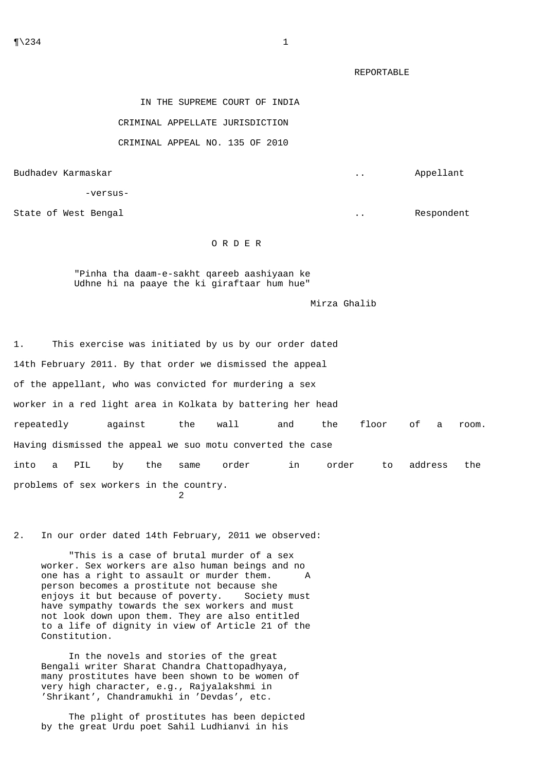REPORTABLE

IN THE SUPREME COURT OF INDIA

## CRIMINAL APPELLATE JURISDICTION

## CRIMINAL APPEAL NO. 135 OF 2010

Budhadev Karmaskar ... Appellant

-versus-

State of West Bengal **... State of West Bengal** ... Respondent

## O R D E R

 "Pinha tha daam-e-sakht qareeb aashiyaan ke Udhne hi na paaye the ki giraftaar hum hue"

Mirza Ghalib

1. This exercise was initiated by us by our order dated 14th February 2011. By that order we dismissed the appeal of the appellant, who was convicted for murdering a sex worker in a red light area in Kolkata by battering her head repeatedly against the wall and the floor of a room. Having dismissed the appeal we suo motu converted the case into a PIL by the same order in order to address the problems of sex workers in the country. 2

2. In our order dated 14th February, 2011 we observed:

 "This is a case of brutal murder of a sex worker. Sex workers are also human beings and no one has a right to assault or murder them. A person becomes a prostitute not because she enjoys it but because of poverty. Society must have sympathy towards the sex workers and must not look down upon them. They are also entitled to a life of dignity in view of Article 21 of the Constitution.

 In the novels and stories of the great Bengali writer Sharat Chandra Chattopadhyaya, many prostitutes have been shown to be women of very high character, e.g., Rajyalakshmi in 'Shrikant', Chandramukhi in 'Devdas', etc.

 The plight of prostitutes has been depicted by the great Urdu poet Sahil Ludhianvi in his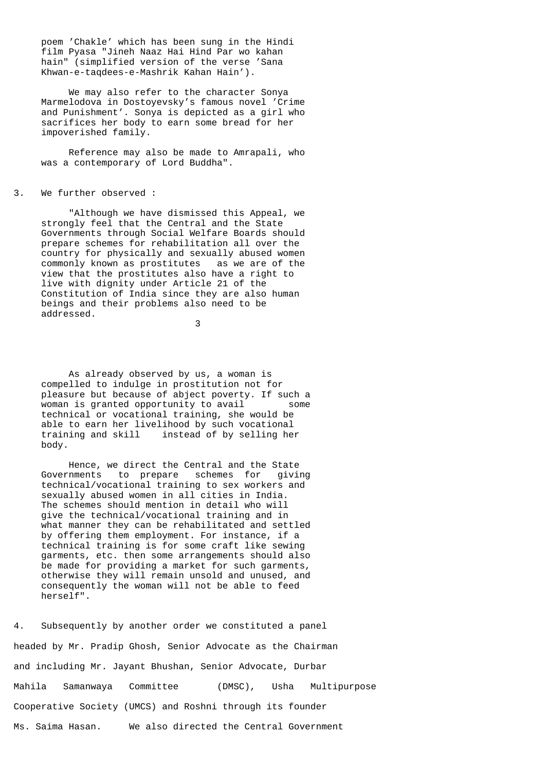poem 'Chakle' which has been sung in the Hindi film Pyasa "Jineh Naaz Hai Hind Par wo kahan hain" (simplified version of the verse 'Sana Khwan-e-taqdees-e-Mashrik Kahan Hain').

 We may also refer to the character Sonya Marmelodova in Dostoyevsky's famous novel 'Crime and Punishment'. Sonya is depicted as a girl who sacrifices her body to earn some bread for her impoverished family.

 Reference may also be made to Amrapali, who was a contemporary of Lord Buddha".

3. We further observed :

 "Although we have dismissed this Appeal, we strongly feel that the Central and the State Governments through Social Welfare Boards should prepare schemes for rehabilitation all over the country for physically and sexually abused women commonly known as prostitutes as we are of the view that the prostitutes also have a right to live with dignity under Article 21 of the Constitution of India since they are also human beings and their problems also need to be addressed.

3

 As already observed by us, a woman is compelled to indulge in prostitution not for pleasure but because of abject poverty. If such a woman is granted opportunity to avail some technical or vocational training, she would be able to earn her livelihood by such vocational training and skill instead of by selling her body.

 Hence, we direct the Central and the State Governments to prepare schemes for giving technical/vocational training to sex workers and sexually abused women in all cities in India. The schemes should mention in detail who will give the technical/vocational training and in what manner they can be rehabilitated and settled by offering them employment. For instance, if a technical training is for some craft like sewing garments, etc. then some arrangements should also be made for providing a market for such garments, otherwise they will remain unsold and unused, and consequently the woman will not be able to feed herself".

4. Subsequently by another order we constituted a panel headed by Mr. Pradip Ghosh, Senior Advocate as the Chairman and including Mr. Jayant Bhushan, Senior Advocate, Durbar Mahila Samanwaya Committee (DMSC), Usha Multipurpose Cooperative Society (UMCS) and Roshni through its founder Ms. Saima Hasan. We also directed the Central Government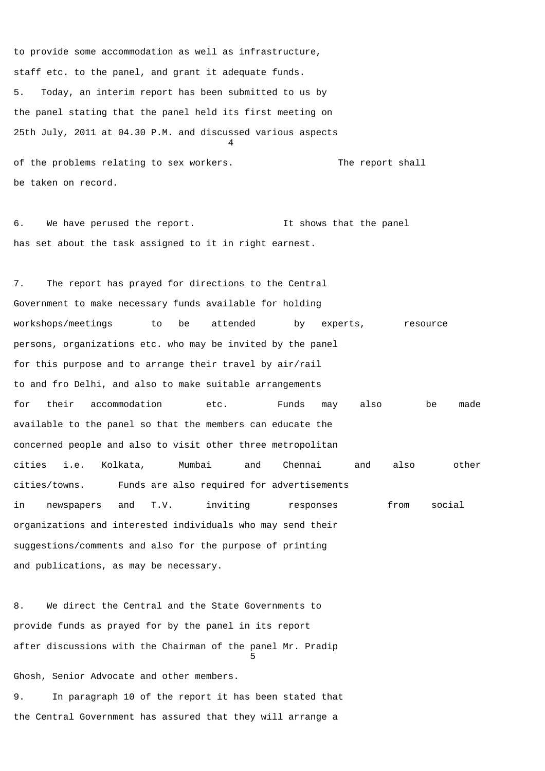to provide some accommodation as well as infrastructure, staff etc. to the panel, and grant it adequate funds. 5. Today, an interim report has been submitted to us by the panel stating that the panel held its first meeting on 25th July, 2011 at 04.30 P.M. and discussed various aspects 4 of the problems relating to sex workers. The report shall

6. We have perused the report. It shows that the panel has set about the task assigned to it in right earnest.

be taken on record.

7. The report has prayed for directions to the Central Government to make necessary funds available for holding workshops/meetings to be attended by experts, resource persons, organizations etc. who may be invited by the panel for this purpose and to arrange their travel by air/rail to and fro Delhi, and also to make suitable arrangements for their accommodation etc. Funds may also be made available to the panel so that the members can educate the concerned people and also to visit other three metropolitan cities i.e. Kolkata, Mumbai and Chennai and also other cities/towns. Funds are also required for advertisements in newspapers and T.V. inviting responses from social organizations and interested individuals who may send their suggestions/comments and also for the purpose of printing and publications, as may be necessary.

8. We direct the Central and the State Governments to provide funds as prayed for by the panel in its report after discussions with the Chairman of the panel Mr. Pradip <u>5</u>

Ghosh, Senior Advocate and other members. 9. In paragraph 10 of the report it has been stated that the Central Government has assured that they will arrange a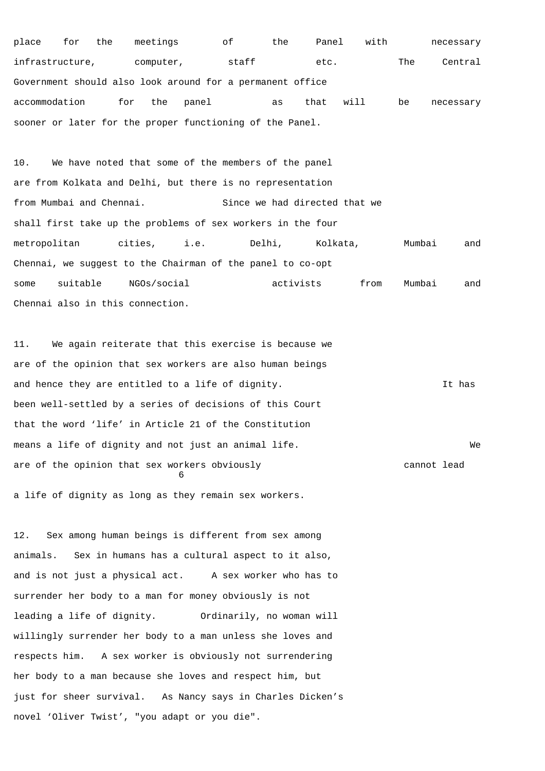place for the meetings of the Panel with necessary infrastructure, computer, staff etc. The Central Government should also look around for a permanent office accommodation for the panel as that will be necessary sooner or later for the proper functioning of the Panel.

10. We have noted that some of the members of the panel are from Kolkata and Delhi, but there is no representation from Mumbai and Chennai. Since we had directed that we shall first take up the problems of sex workers in the four metropolitan cities, i.e. Delhi, Kolkata, Mumbai and Chennai, we suggest to the Chairman of the panel to co-opt some suitable NGOs/social activists from Mumbai and Chennai also in this connection.

11. We again reiterate that this exercise is because we are of the opinion that sex workers are also human beings and hence they are entitled to a life of dignity. The same of the state of the state of the state of the state of the state of the state of the state of the state of the state of the state of the state of the state of the been well-settled by a series of decisions of this Court that the word 'life' in Article 21 of the Constitution means a life of dignity and not just an animal life. We are of the opinion that sex workers obviously cannot lead  $\sim$  6 a life of dignity as long as they remain sex workers.

12. Sex among human beings is different from sex among animals. Sex in humans has a cultural aspect to it also, and is not just a physical act. A sex worker who has to surrender her body to a man for money obviously is not leading a life of dignity. Ordinarily, no woman will willingly surrender her body to a man unless she loves and respects him. A sex worker is obviously not surrendering her body to a man because she loves and respect him, but just for sheer survival. As Nancy says in Charles Dicken's novel 'Oliver Twist', "you adapt or you die".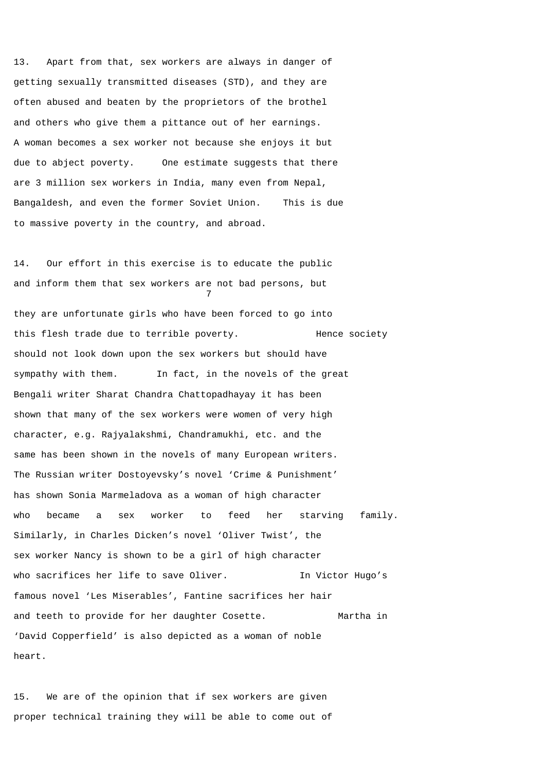13. Apart from that, sex workers are always in danger of getting sexually transmitted diseases (STD), and they are often abused and beaten by the proprietors of the brothel and others who give them a pittance out of her earnings. A woman becomes a sex worker not because she enjoys it but due to abject poverty. One estimate suggests that there are 3 million sex workers in India, many even from Nepal, Bangaldesh, and even the former Soviet Union. This is due to massive poverty in the country, and abroad.

14. Our effort in this exercise is to educate the public and inform them that sex workers are not bad persons, but 7 they are unfortunate girls who have been forced to go into this flesh trade due to terrible poverty. Hence society should not look down upon the sex workers but should have sympathy with them. In fact, in the novels of the great Bengali writer Sharat Chandra Chattopadhayay it has been shown that many of the sex workers were women of very high character, e.g. Rajyalakshmi, Chandramukhi, etc. and the same has been shown in the novels of many European writers. The Russian writer Dostoyevsky's novel 'Crime & Punishment' has shown Sonia Marmeladova as a woman of high character who became a sex worker to feed her starving family. Similarly, in Charles Dicken's novel 'Oliver Twist', the sex worker Nancy is shown to be a girl of high character who sacrifices her life to save Oliver. In Victor Hugo's famous novel 'Les Miserables', Fantine sacrifices her hair and teeth to provide for her daughter Cosette. Martha in 'David Copperfield' is also depicted as a woman of noble heart.

15. We are of the opinion that if sex workers are given proper technical training they will be able to come out of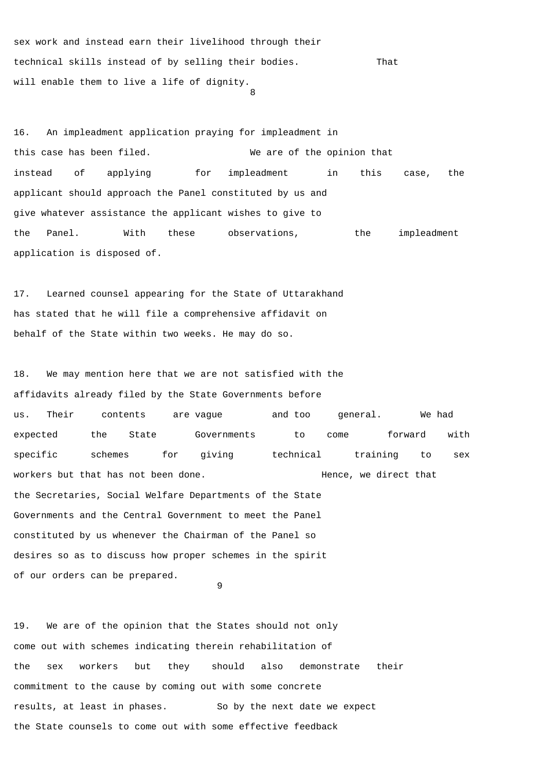sex work and instead earn their livelihood through their technical skills instead of by selling their bodies. That will enable them to live a life of dignity. 8

16. An impleadment application praying for impleadment in this case has been filed. We are of the opinion that instead of applying for impleadment in this case, the applicant should approach the Panel constituted by us and give whatever assistance the applicant wishes to give to the Panel. With these observations, the impleadment application is disposed of.

17. Learned counsel appearing for the State of Uttarakhand has stated that he will file a comprehensive affidavit on behalf of the State within two weeks. He may do so.

18. We may mention here that we are not satisfied with the affidavits already filed by the State Governments before us. Their contents are vague and too general. We had expected the State Governments to come forward with specific schemes for giving technical training to sex workers but that has not been done. The metal of the Hence, we direct that the Secretaries, Social Welfare Departments of the State Governments and the Central Government to meet the Panel constituted by us whenever the Chairman of the Panel so desires so as to discuss how proper schemes in the spirit of our orders can be prepared.

9

19. We are of the opinion that the States should not only come out with schemes indicating therein rehabilitation of the sex workers but they should also demonstrate their commitment to the cause by coming out with some concrete results, at least in phases. So by the next date we expect the State counsels to come out with some effective feedback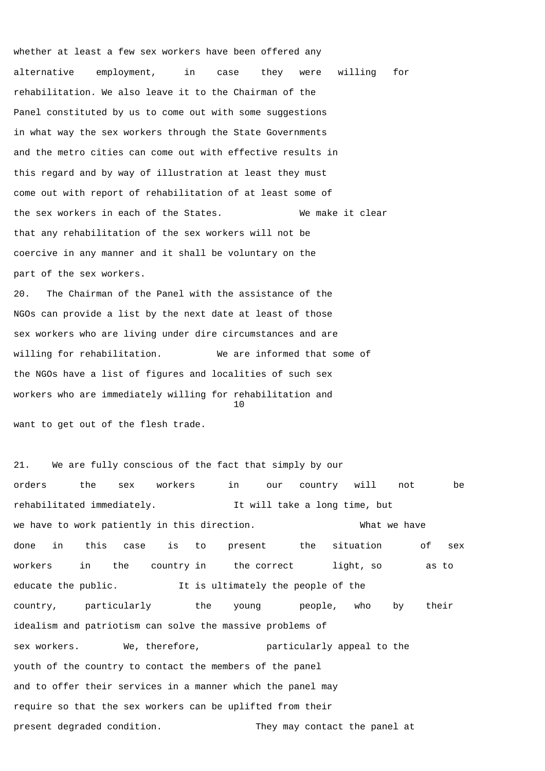whether at least a few sex workers have been offered any alternative employment, in case they were willing for rehabilitation. We also leave it to the Chairman of the Panel constituted by us to come out with some suggestions in what way the sex workers through the State Governments and the metro cities can come out with effective results in this regard and by way of illustration at least they must come out with report of rehabilitation of at least some of the sex workers in each of the States. We make it clear that any rehabilitation of the sex workers will not be coercive in any manner and it shall be voluntary on the part of the sex workers.

20. The Chairman of the Panel with the assistance of the NGOs can provide a list by the next date at least of those sex workers who are living under dire circumstances and are willing for rehabilitation. We are informed that some of the NGOs have a list of figures and localities of such sex workers who are immediately willing for rehabilitation and 10

want to get out of the flesh trade.

21. We are fully conscious of the fact that simply by our orders the sex workers in our country will not be rehabilitated immediately. It will take a long time, but we have to work patiently in this direction. The most what we have done in this case is to present the situation of sex workers in the country in the correct light, so as to educate the public. It is ultimately the people of the country, particularly the young people, who by their idealism and patriotism can solve the massive problems of sex workers. We, therefore, and particularly appeal to the youth of the country to contact the members of the panel and to offer their services in a manner which the panel may require so that the sex workers can be uplifted from their present degraded condition. They may contact the panel at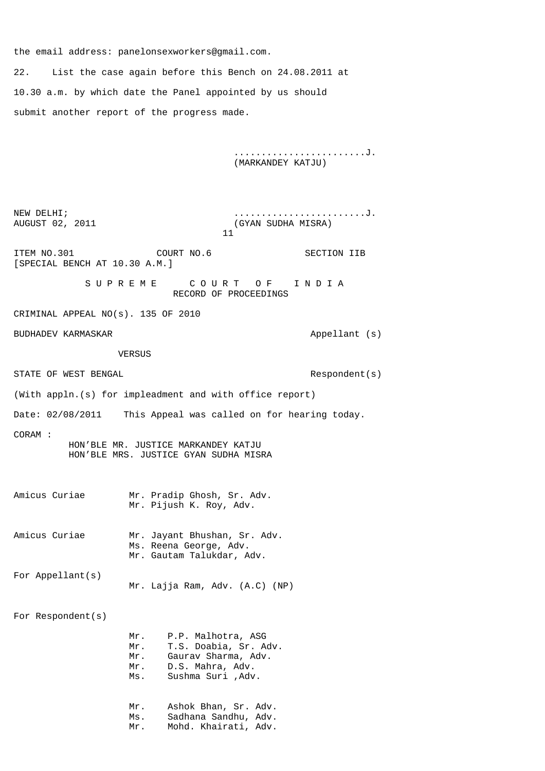the email address: panelonsexworkers@gmail.com.

22. List the case again before this Bench on 24.08.2011 at 10.30 a.m. by which date the Panel appointed by us should submit another report of the progress made.

> ........................J. (MARKANDEY KATJU)

NEW DELHI;  $\dots \dots \dots \dots \dots \dots$ AUGUST 02, 2011 (GYAN SUDHA MISRA)  $11$ ITEM NO.301 COURT NO.6 SECTION IIB [SPECIAL BENCH AT 10.30 A.M.] S U P R E M E C C O U R T O F T I N D I A RECORD OF PROCEEDINGS CRIMINAL APPEAL NO(s). 135 OF 2010 BUDHADEV KARMASKAR **Appellant** (s) VERSUS STATE OF WEST BENGAL STATE OF WEST BENGAL SERVICES AND RESPONDENT (S) (With appln.(s) for impleadment and with office report) Date: 02/08/2011 This Appeal was called on for hearing today. CORAM : HON'BLE MR. JUSTICE MARKANDEY KATJU HON'BLE MRS. JUSTICE GYAN SUDHA MISRA Amicus Curiae Mr. Pradip Ghosh, Sr. Adv. Mr. Pijush K. Roy, Adv. Amicus Curiae Mr. Jayant Bhushan, Sr. Adv. Ms. Reena George, Adv. Mr. Gautam Talukdar, Adv. For Appellant(s) Mr. Lajja Ram, Adv. (A.C) (NP) For Respondent(s) Mr. P.P. Malhotra, ASG Mr. T.S. Doabia, Sr. Adv. Mr. Gaurav Sharma, Adv. Mr. D.S. Mahra, Adv. Ms. Sushma Suri ,Adv. Mr. Ashok Bhan, Sr. Adv. Ms. Sadhana Sandhu, Adv. Mr. Mohd. Khairati, Adv.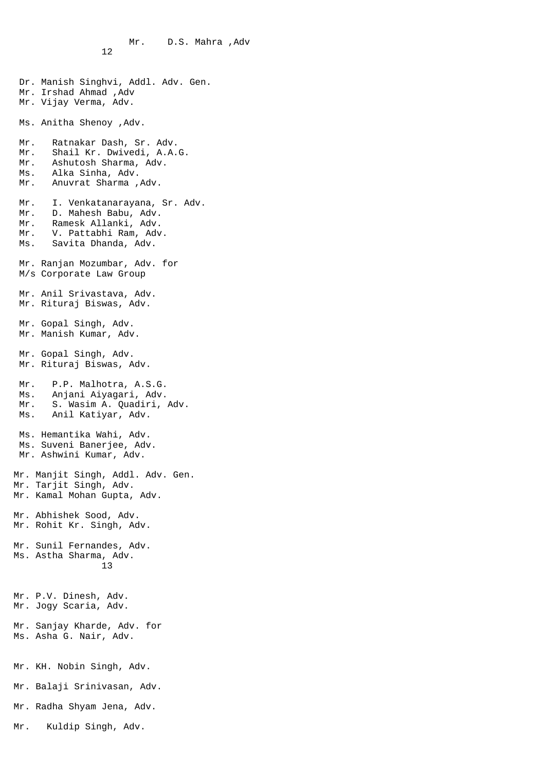$12$  Dr. Manish Singhvi, Addl. Adv. Gen. Mr. Irshad Ahmad ,Adv Mr. Vijay Verma, Adv. Ms. Anitha Shenoy ,Adv. Mr. Ratnakar Dash, Sr. Adv. Mr. Shail Kr. Dwivedi, A.A.G. Mr. Ashutosh Sharma, Adv. Ms. Alka Sinha, Adv. Mr. Anuvrat Sharma ,Adv. Mr. I. Venkatanarayana, Sr. Adv. Mr. D. Mahesh Babu, Adv. Mr. Ramesk Allanki, Adv. Mr. V. Pattabhi Ram, Adv. Ms. Savita Dhanda, Adv. Mr. Ranjan Mozumbar, Adv. for M/s Corporate Law Group Mr. Anil Srivastava, Adv. Mr. Rituraj Biswas, Adv. Mr. Gopal Singh, Adv. Mr. Manish Kumar, Adv. Mr. Gopal Singh, Adv. Mr. Rituraj Biswas, Adv. Mr. P.P. Malhotra, A.S.G. Ms. Anjani Aiyagari, Adv. Mr. S. Wasim A. Quadiri, Adv. Ms. Anil Katiyar, Adv. Ms. Hemantika Wahi, Adv. Ms. Suveni Banerjee, Adv. Mr. Ashwini Kumar, Adv. Mr. Manjit Singh, Addl. Adv. Gen. Mr. Tarjit Singh, Adv. Mr. Kamal Mohan Gupta, Adv. Mr. Abhishek Sood, Adv. Mr. Rohit Kr. Singh, Adv. Mr. Sunil Fernandes, Adv. Ms. Astha Sharma, Adv. 13 Mr. P.V. Dinesh, Adv. Mr. Jogy Scaria, Adv. Mr. Sanjay Kharde, Adv. for Ms. Asha G. Nair, Adv. Mr. KH. Nobin Singh, Adv. Mr. Balaji Srinivasan, Adv. Mr. Radha Shyam Jena, Adv.

Mr. D.S. Mahra ,Adv

Mr. Kuldip Singh, Adv.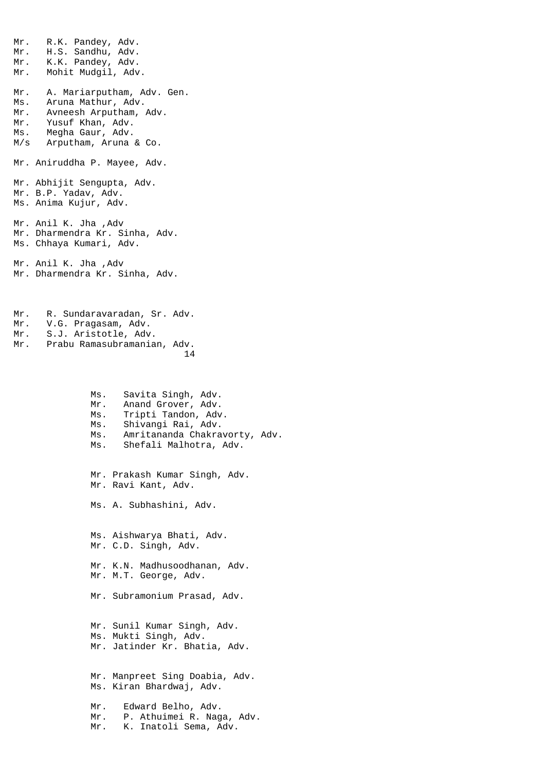Mr. R.K. Pandey, Adv. Mr. H.S. Sandhu, Adv. Mr. K.K. Pandey, Adv. Mr. Mohit Mudgil, Adv. Mr. A. Mariarputham, Adv. Gen. Ms. Aruna Mathur, Adv. Mr. Avneesh Arputham, Adv. Mr. Yusuf Khan, Adv. Ms. Megha Gaur, Adv. M/s Arputham, Aruna & Co. Mr. Aniruddha P. Mayee, Adv. Mr. Abhijit Sengupta, Adv. Mr. B.P. Yadav, Adv. Ms. Anima Kujur, Adv. Mr. Anil K. Jha ,Adv Mr. Dharmendra Kr. Sinha, Adv. Ms. Chhaya Kumari, Adv. Mr. Anil K. Jha ,Adv Mr. Dharmendra Kr. Sinha, Adv.

Mr. R. Sundaravaradan, Sr. Adv. Mr. V.G. Pragasam, Adv. Mr. S.J. Aristotle, Adv. Mr. Prabu Ramasubramanian, Adv. 14

> Ms. Savita Singh, Adv. Mr. Anand Grover, Adv. Ms. Tripti Tandon, Adv. Ms. Shivangi Rai, Adv. Ms. Amritananda Chakravorty, Adv. Ms. Shefali Malhotra, Adv.

 Mr. Prakash Kumar Singh, Adv. Mr. Ravi Kant, Adv. Ms. A. Subhashini, Adv. Ms. Aishwarya Bhati, Adv. Mr. C.D. Singh, Adv. Mr. K.N. Madhusoodhanan, Adv. Mr. M.T. George, Adv. Mr. Subramonium Prasad, Adv. Mr. Sunil Kumar Singh, Adv. Ms. Mukti Singh, Adv. Mr. Jatinder Kr. Bhatia, Adv. Mr. Manpreet Sing Doabia, Adv. Ms. Kiran Bhardwaj, Adv. Mr. Edward Belho, Adv.

 Mr. P. Athuimei R. Naga, Adv. Mr. K. Inatoli Sema, Adv.